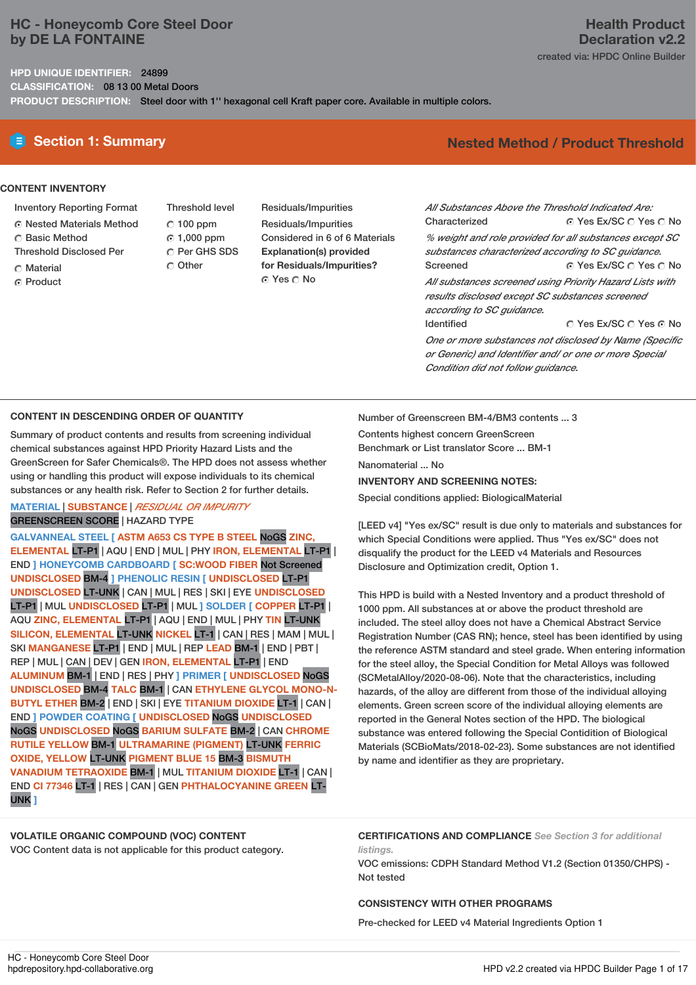# **HC - Honeycomb Core Steel Door by DE LA FONTAINE**

**HPD UNIQUE IDENTIFIER:** 24899

**CLASSIFICATION:** 08 13 00 Metal Doors

**PRODUCT DESCRIPTION:** Steel door with 1'' hexagonal cell Kraft paper core. Available in multiple colors.

## **CONTENT INVENTORY**

- Inventory Reporting Format
- Nested Materials Method
- C Basic Method
- Threshold Disclosed Per
- Material
- ⊙ Product
- Threshold level  $C$  100 ppm 1,000 ppm C Per GHS SDS Other
- Residuals/Impurities Residuals/Impurities Considered in 6 of 6 Materials **Explanation(s) provided for Residuals/Impurities?** ⊙ Yes O No

## **Health Product Declaration v2.2** created via: HPDC Online Builder

# **E** Section 1: Summary **Nested** Method **/** Product Threshold

 $\odot$  Yes Ex/SC  $\odot$  Yes  $\odot$  No ⊙ Yes Ex/SC  $\cap$  Yes  $\cap$  No C Yes Ex/SC C Yes G No *All Substances Above the Threshold Indicated Are:* Characterized *% weight and role provided for all substances except SC substances characterized according to SC guidance.* Screened *All substances screened using Priority Hazard Lists with results disclosed except SC substances screened according to SC guidance.* Identified *One or more substances not disclosed by Name (Specific or Generic) and Identifier and/ or one or more Special*

## **CONTENT IN DESCENDING ORDER OF QUANTITY**

Summary of product contents and results from screening individual chemical substances against HPD Priority Hazard Lists and the GreenScreen for Safer Chemicals®. The HPD does not assess whether using or handling this product will expose individuals to its chemical substances or any health risk. Refer to Section 2 for further details.

## **MATERIAL** | **SUBSTANCE** | *RESIDUAL OR IMPURITY* GREENSCREEN SCORE | HAZARD TYPE

**GALVANNEAL STEEL [ ASTM A653 CS TYPE B STEEL** NoGS **ZINC, ELEMENTAL** LT-P1 | AQU | END | MUL | PHY **IRON, ELEMENTAL** LT-P1 | END **] HONEYCOMB CARDBOARD [ SC:WOOD FIBER** Not Screened **UNDISCLOSED** BM-4 **] PHENOLIC RESIN [ UNDISCLOSED** LT-P1 **UNDISCLOSED** LT-UNK | CAN | MUL | RES | SKI | EYE **UNDISCLOSED** LT-P1 | MUL **UNDISCLOSED** LT-P1 | MUL **] SOLDER [ COPPER** LT-P1 | AQU **ZINC, ELEMENTAL** LT-P1 | AQU | END | MUL | PHY **TIN** LT-UNK **SILICON, ELEMENTAL** LT-UNK **NICKEL** LT-1 | CAN | RES | MAM | MUL | SKI **MANGANESE** LT-P1 | END | MUL | REP **LEAD** BM-1 | END | PBT | REP | MUL | CAN | DEV | GEN **IRON, ELEMENTAL** LT-P1 | END **ALUMINUM** BM-1 | END | RES | PHY **] PRIMER [ UNDISCLOSED** NoGS **UNDISCLOSED** BM-4 **TALC** BM-1 | CAN **ETHYLENE GLYCOL MONO-N-BUTYL ETHER** BM-2 | END | SKI | EYE **TITANIUM DIOXIDE** LT-1 | CAN | END **] POWDER COATING [ UNDISCLOSED** NoGS **UNDISCLOSED** NoGS **UNDISCLOSED** NoGS **BARIUM SULFATE** BM-2 | CAN **CHROME RUTILE YELLOW** BM-1 **ULTRAMARINE (PIGMENT)** LT-UNK **FERRIC OXIDE, YELLOW** LT-UNK **PIGMENT BLUE 15** BM-3 **BISMUTH VANADIUM TETRAOXIDE** BM-1 | MUL **TITANIUM DIOXIDE** LT-1 | CAN | END **CI 77346** LT-1 | RES | CAN | GEN **PHTHALOCYANINE GREEN** LT-UNK **]**

Number of Greenscreen BM-4/BM3 contents ... 3 Contents highest concern GreenScreen Benchmark or List translator Score ... BM-1 Nanomaterial ... No **INVENTORY AND SCREENING NOTES:**

*Condition did not follow guidance.*

Special conditions applied: BiologicalMaterial

[LEED v4] "Yes ex/SC" result is due only to materials and substances for which Special Conditions were applied. Thus "Yes ex/SC" does not disqualify the product for the LEED v4 Materials and Resources Disclosure and Optimization credit, Option 1.

This HPD is build with a Nested Inventory and a product threshold of 1000 ppm. All substances at or above the product threshold are included. The steel alloy does not have a Chemical Abstract Service Registration Number (CAS RN); hence, steel has been identified by using the reference ASTM standard and steel grade. When entering information for the steel alloy, the Special Condition for Metal Alloys was followed (SCMetalAlloy/2020-08-06). Note that the characteristics, including hazards, of the alloy are different from those of the individual alloying elements. Green screen score of the individual alloying elements are reported in the General Notes section of the HPD. The biological substance was entered following the Special Contidition of Biological Materials (SCBioMats/2018-02-23). Some substances are not identified by name and identifier as they are proprietary.

# **VOLATILE ORGANIC COMPOUND (VOC) CONTENT**

VOC Content data is not applicable for this product category.

**CERTIFICATIONS AND COMPLIANCE** *See Section 3 for additional listings.*

VOC emissions: CDPH Standard Method V1.2 (Section 01350/CHPS) - Not tested

## **CONSISTENCY WITH OTHER PROGRAMS**

Pre-checked for LEED v4 Material Ingredients Option 1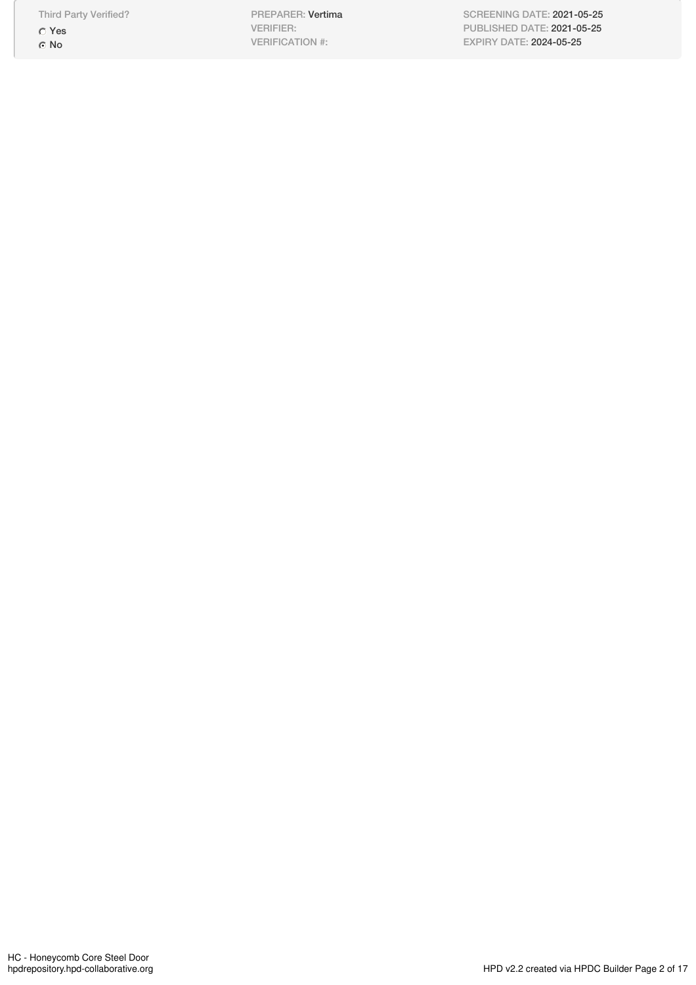Third Party Verified? Yes ⊙ No

PREPARER: Vertima VERIFIER: VERIFICATION #:

SCREENING DATE: 2021-05-25 PUBLISHED DATE: 2021-05-25 EXPIRY DATE: 2024-05-25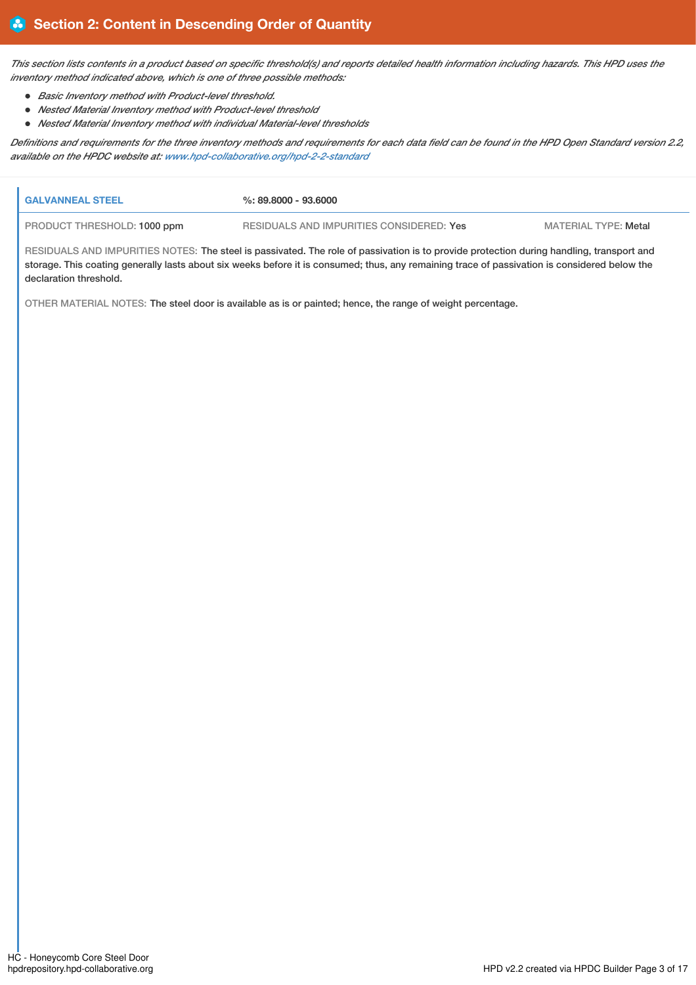This section lists contents in a product based on specific threshold(s) and reports detailed health information including hazards. This HPD uses the *inventory method indicated above, which is one of three possible methods:*

- *Basic Inventory method with Product-level threshold.*
- *Nested Material Inventory method with Product-level threshold*
- *Nested Material Inventory method with individual Material-level thresholds*

Definitions and requirements for the three inventory methods and requirements for each data field can be found in the HPD Open Standard version 2.2, *available on the HPDC website at: [www.hpd-collaborative.org/hpd-2-2-standard](https://www.hpd-collaborative.org/hpd-2-2-standard)*

| <b>GALVANNEAL STEEL</b>                                                                                                                  | %: 89.8000 - 93.6000                     |                      |  |  |  |  |
|------------------------------------------------------------------------------------------------------------------------------------------|------------------------------------------|----------------------|--|--|--|--|
| PRODUCT THRESHOLD: 1000 ppm                                                                                                              | RESIDUALS AND IMPURITIES CONSIDERED: Yes | MATERIAL TYPE: Metal |  |  |  |  |
| RESIDUALS AND IMPURITIES NOTES: The steel is passivated. The role of passivation is to provide protection during handling, transport and |                                          |                      |  |  |  |  |

IMPURITIES NOTES: The steel is passivated. The role of passivation is to provide protection during handling, transport and storage. This coating generally lasts about six weeks before it is consumed; thus, any remaining trace of passivation is considered below the declaration threshold.

OTHER MATERIAL NOTES: The steel door is available as is or painted; hence, the range of weight percentage.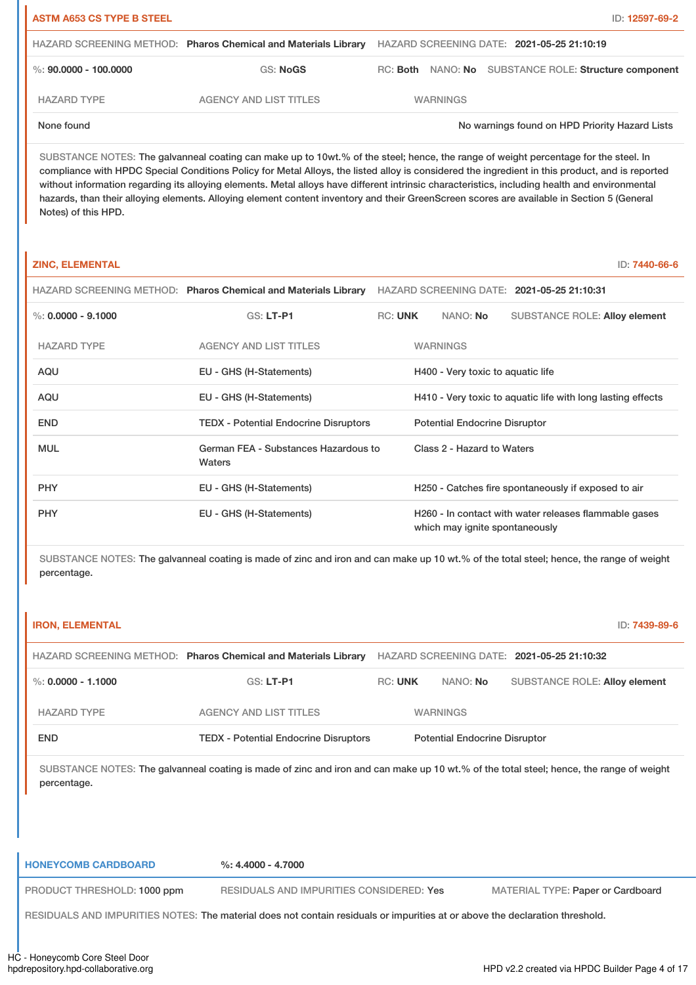| <b>ASTM A653 CS TYPE B STEEL</b><br>ID: 12597-69-2 |                                                                |  |                                                       |  |  |                                                |  |
|----------------------------------------------------|----------------------------------------------------------------|--|-------------------------------------------------------|--|--|------------------------------------------------|--|
|                                                    | HAZARD SCREENING METHOD: Pharos Chemical and Materials Library |  | HAZARD SCREENING DATE: 2021-05-25 21:10:19            |  |  |                                                |  |
| %: $90.0000 - 100.0000$                            | GS: NoGS                                                       |  | RC: Both NANO: No SUBSTANCE ROLE: Structure component |  |  |                                                |  |
| <b>HAZARD TYPE</b>                                 | <b>AGENCY AND LIST TITLES</b>                                  |  | <b>WARNINGS</b>                                       |  |  |                                                |  |
| None found                                         |                                                                |  |                                                       |  |  | No warnings found on HPD Priority Hazard Lists |  |

SUBSTANCE NOTES: The galvanneal coating can make up to 10wt.% of the steel; hence, the range of weight percentage for the steel. In compliance with HPDC Special Conditions Policy for Metal Alloys, the listed alloy is considered the ingredient in this product, and is reported without information regarding its alloying elements. Metal alloys have different intrinsic characteristics, including health and environmental hazards, than their alloying elements. Alloying element content inventory and their GreenScreen scores are available in Section 5 (General Notes) of this HPD.

## **ZINC, ELEMENTAL** ID: **7440-66-6**

|                      | HAZARD SCREENING METHOD: Pharos Chemical and Materials Library |                |                                                                                         |                                   | HAZARD SCREENING DATE: 2021-05-25 21:10:31          |  |
|----------------------|----------------------------------------------------------------|----------------|-----------------------------------------------------------------------------------------|-----------------------------------|-----------------------------------------------------|--|
| %: $0.0000 - 9.1000$ | $GS: LT-P1$                                                    | <b>RC: UNK</b> |                                                                                         | NANO: <b>No</b>                   | <b>SUBSTANCE ROLE: Alloy element</b>                |  |
| <b>HAZARD TYPE</b>   | <b>AGENCY AND LIST TITLES</b>                                  |                |                                                                                         | <b>WARNINGS</b>                   |                                                     |  |
| <b>AQU</b>           | EU - GHS (H-Statements)                                        |                |                                                                                         | H400 - Very toxic to aquatic life |                                                     |  |
| AQU                  | EU - GHS (H-Statements)                                        |                | H410 - Very toxic to aquatic life with long lasting effects                             |                                   |                                                     |  |
| <b>END</b>           | <b>TEDX</b> - Potential Endocrine Disruptors                   |                | <b>Potential Endocrine Disruptor</b>                                                    |                                   |                                                     |  |
| <b>MUL</b>           | German FEA - Substances Hazardous to<br>Waters                 |                | Class 2 - Hazard to Waters                                                              |                                   |                                                     |  |
| <b>PHY</b>           | EU - GHS (H-Statements)                                        |                |                                                                                         |                                   | H250 - Catches fire spontaneously if exposed to air |  |
| <b>PHY</b>           | EU - GHS (H-Statements)                                        |                | H260 - In contact with water releases flammable gases<br>which may ignite spontaneously |                                   |                                                     |  |

SUBSTANCE NOTES: The galvanneal coating is made of zinc and iron and can make up 10 wt.% of the total steel; hence, the range of weight percentage.

| <b>IRON, ELEMENTAL</b>                                                                                                       |                                                                                                                                         |                |                                      | ID: 7439-89-6                              |  |
|------------------------------------------------------------------------------------------------------------------------------|-----------------------------------------------------------------------------------------------------------------------------------------|----------------|--------------------------------------|--------------------------------------------|--|
|                                                                                                                              | HAZARD SCREENING METHOD: Pharos Chemical and Materials Library                                                                          |                |                                      | HAZARD SCREENING DATE: 2021-05-25 21:10:32 |  |
| $\%$ : 0.0000 - 1.1000                                                                                                       | <b>GS: LT-P1</b>                                                                                                                        | <b>RC: UNK</b> | NANO: No                             | <b>SUBSTANCE ROLE: Alloy element</b>       |  |
| <b>HAZARD TYPE</b>                                                                                                           | <b>AGENCY AND LIST TITLES</b>                                                                                                           |                | <b>WARNINGS</b>                      |                                            |  |
| <b>END</b>                                                                                                                   | <b>TEDX - Potential Endocrine Disruptors</b>                                                                                            |                | <b>Potential Endocrine Disruptor</b> |                                            |  |
| percentage.                                                                                                                  | SUBSTANCE NOTES: The galvanneal coating is made of zinc and iron and can make up 10 wt.% of the total steel; hence, the range of weight |                |                                      |                                            |  |
| <b>HONEYCOMB CARDBOARD</b>                                                                                                   | $\%: 4.4000 - 4.7000$                                                                                                                   |                |                                      |                                            |  |
| PRODUCT THRESHOLD: 1000 ppm                                                                                                  | RESIDUALS AND IMPURITIES CONSIDERED: Yes                                                                                                |                |                                      | <b>MATERIAL TYPE: Paper or Cardboard</b>   |  |
| RESIDUALS AND IMPURITIES NOTES: The material does not contain residuals or impurities at or above the declaration threshold. |                                                                                                                                         |                |                                      |                                            |  |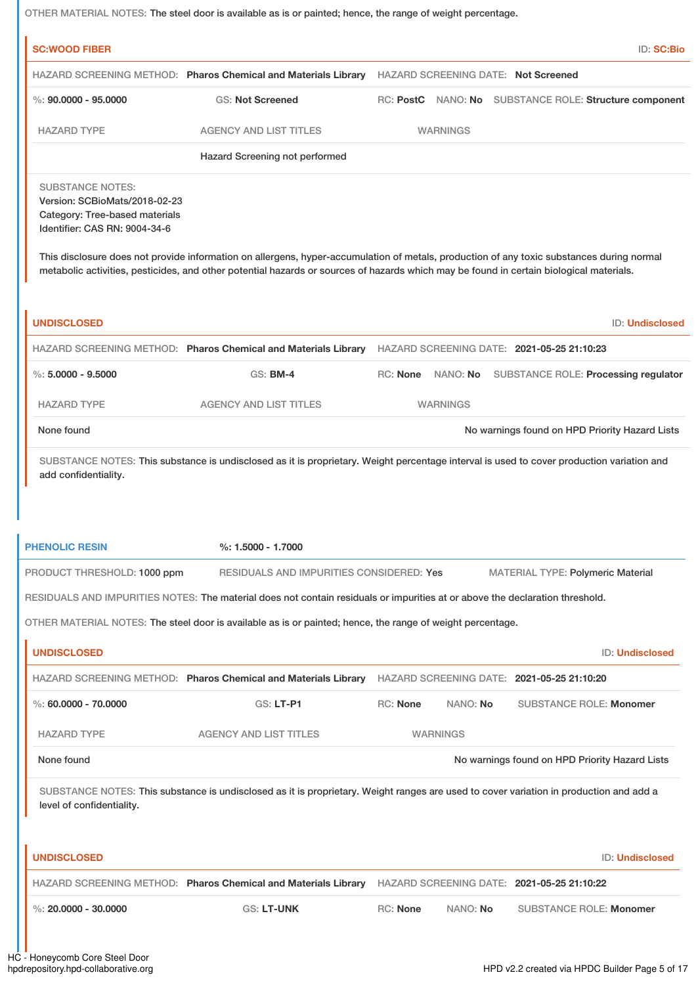|                                                                                                                             | OTHER MATERIAL NOTES: The steel door is available as is or painted; hence, the range of weight percentage.                                                                                                                                                                           |                 |                 |                                            |                                                        |
|-----------------------------------------------------------------------------------------------------------------------------|--------------------------------------------------------------------------------------------------------------------------------------------------------------------------------------------------------------------------------------------------------------------------------------|-----------------|-----------------|--------------------------------------------|--------------------------------------------------------|
| <b>SC:WOOD FIBER</b>                                                                                                        |                                                                                                                                                                                                                                                                                      |                 |                 |                                            | ID: SC:Bio                                             |
|                                                                                                                             | HAZARD SCREENING METHOD: Pharos Chemical and Materials Library                                                                                                                                                                                                                       |                 |                 | <b>HAZARD SCREENING DATE: Not Screened</b> |                                                        |
| $\%$ : 90,0000 - 95,0000                                                                                                    | <b>GS: Not Screened</b>                                                                                                                                                                                                                                                              |                 |                 |                                            | RC: PostC NANO: No SUBSTANCE ROLE: Structure component |
| <b>HAZARD TYPE</b>                                                                                                          | <b>AGENCY AND LIST TITLES</b>                                                                                                                                                                                                                                                        |                 | <b>WARNINGS</b> |                                            |                                                        |
|                                                                                                                             | Hazard Screening not performed                                                                                                                                                                                                                                                       |                 |                 |                                            |                                                        |
| <b>SUBSTANCE NOTES:</b><br>Version: SCBioMats/2018-02-23<br>Category: Tree-based materials<br>Identifier: CAS RN: 9004-34-6 |                                                                                                                                                                                                                                                                                      |                 |                 |                                            |                                                        |
|                                                                                                                             | This disclosure does not provide information on allergens, hyper-accumulation of metals, production of any toxic substances during normal<br>metabolic activities, pesticides, and other potential hazards or sources of hazards which may be found in certain biological materials. |                 |                 |                                            |                                                        |
| <b>UNDISCLOSED</b>                                                                                                          |                                                                                                                                                                                                                                                                                      |                 |                 |                                            | <b>ID: Undisclosed</b>                                 |
|                                                                                                                             | HAZARD SCREENING METHOD: Pharos Chemical and Materials Library                                                                                                                                                                                                                       |                 |                 | HAZARD SCREENING DATE: 2021-05-25 21:10:23 |                                                        |
| $\%$ : 5.0000 - 9.5000                                                                                                      | <b>GS: BM-4</b>                                                                                                                                                                                                                                                                      | RC: None        |                 |                                            | NANO: No SUBSTANCE ROLE: Processing regulator          |
| <b>HAZARD TYPE</b>                                                                                                          | <b>AGENCY AND LIST TITLES</b>                                                                                                                                                                                                                                                        |                 | <b>WARNINGS</b> |                                            |                                                        |
| None found                                                                                                                  |                                                                                                                                                                                                                                                                                      |                 |                 |                                            | No warnings found on HPD Priority Hazard Lists         |
| add confidentiality.                                                                                                        | SUBSTANCE NOTES: This substance is undisclosed as it is proprietary. Weight percentage interval is used to cover production variation and                                                                                                                                            |                 |                 |                                            |                                                        |
| <b>PHENOLIC RESIN</b>                                                                                                       | $%: 1.5000 - 1.7000$                                                                                                                                                                                                                                                                 |                 |                 |                                            |                                                        |
| PRODUCT THRESHOLD: 1000 ppm                                                                                                 | RESIDUALS AND IMPURITIES CONSIDERED: Yes<br>RESIDUALS AND IMPURITIES NOTES: The material does not contain residuals or impurities at or above the declaration threshold.                                                                                                             |                 |                 |                                            | MATERIAL TYPE: Polymeric Material                      |
|                                                                                                                             | OTHER MATERIAL NOTES: The steel door is available as is or painted; hence, the range of weight percentage.                                                                                                                                                                           |                 |                 |                                            |                                                        |
| <b>UNDISCLOSED</b>                                                                                                          |                                                                                                                                                                                                                                                                                      |                 |                 |                                            | <b>ID: Undisclosed</b>                                 |
|                                                                                                                             | HAZARD SCREENING METHOD: Pharos Chemical and Materials Library                                                                                                                                                                                                                       |                 |                 | HAZARD SCREENING DATE: 2021-05-25 21:10:20 |                                                        |
| $\%$ : 60,0000 - 70,0000                                                                                                    | <b>GS: LT-P1</b>                                                                                                                                                                                                                                                                     | <b>RC: None</b> | NANO: No        |                                            | <b>SUBSTANCE ROLE: Monomer</b>                         |
| <b>HAZARD TYPE</b>                                                                                                          | <b>AGENCY AND LIST TITLES</b>                                                                                                                                                                                                                                                        |                 | <b>WARNINGS</b> |                                            |                                                        |
| None found                                                                                                                  |                                                                                                                                                                                                                                                                                      |                 |                 |                                            | No warnings found on HPD Priority Hazard Lists         |
| level of confidentiality.                                                                                                   | SUBSTANCE NOTES: This substance is undisclosed as it is proprietary. Weight ranges are used to cover variation in production and add a                                                                                                                                               |                 |                 |                                            |                                                        |
|                                                                                                                             |                                                                                                                                                                                                                                                                                      |                 |                 |                                            |                                                        |
| <b>UNDISCLOSED</b>                                                                                                          |                                                                                                                                                                                                                                                                                      |                 |                 |                                            | ID: Undisclosed                                        |

%: **20.0000 - 30.0000** GS: **LT-UNK** RC: **None** NANO: **No** SUBSTANCE ROLE: **Monomer**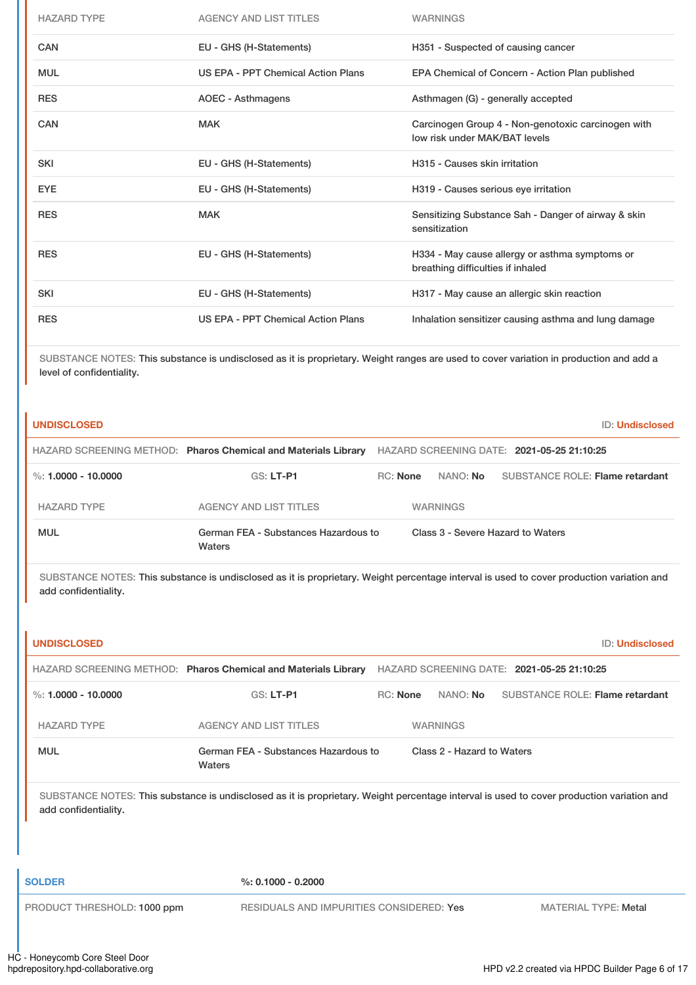| <b>HAZARD TYPE</b> | <b>AGENCY AND LIST TITLES</b>      | <b>WARNINGS</b>                                                                     |
|--------------------|------------------------------------|-------------------------------------------------------------------------------------|
| CAN                | EU - GHS (H-Statements)            | H351 - Suspected of causing cancer                                                  |
| <b>MUL</b>         | US EPA - PPT Chemical Action Plans | EPA Chemical of Concern - Action Plan published                                     |
| <b>RES</b>         | AOEC - Asthmagens                  | Asthmagen (G) - generally accepted                                                  |
| <b>CAN</b>         | <b>MAK</b>                         | Carcinogen Group 4 - Non-genotoxic carcinogen with<br>low risk under MAK/BAT levels |
| <b>SKI</b>         | EU - GHS (H-Statements)            | H315 - Causes skin irritation                                                       |
| <b>EYE</b>         | EU - GHS (H-Statements)            | H319 - Causes serious eye irritation                                                |
| <b>RES</b>         | <b>MAK</b>                         | Sensitizing Substance Sah - Danger of airway & skin<br>sensitization                |
| <b>RES</b>         | EU - GHS (H-Statements)            | H334 - May cause allergy or asthma symptoms or<br>breathing difficulties if inhaled |
| <b>SKI</b>         | EU - GHS (H-Statements)            | H317 - May cause an allergic skin reaction                                          |
| <b>RES</b>         | US EPA - PPT Chemical Action Plans | Inhalation sensitizer causing asthma and lung damage                                |

SUBSTANCE NOTES: This substance is undisclosed as it is proprietary. Weight ranges are used to cover variation in production and add a level of confidentiality.

| <b>UNDISCLOSED</b>    |                                                                | <b>ID: Undisclosed</b>                                                       |
|-----------------------|----------------------------------------------------------------|------------------------------------------------------------------------------|
|                       | HAZARD SCREENING METHOD: Pharos Chemical and Materials Library | HAZARD SCREENING DATE: 2021-05-25 21:10:25                                   |
| %: $1.0000 - 10.0000$ | $GS: LT-PI$                                                    | <b>SUBSTANCE ROLE: Flame retardant</b><br><b>RC: None</b><br>NANO: <b>No</b> |
| <b>HAZARD TYPE</b>    | <b>AGENCY AND LIST TITLES</b>                                  | <b>WARNINGS</b>                                                              |
| <b>MUL</b>            | German FEA - Substances Hazardous to<br>Waters                 | Class 3 - Severe Hazard to Waters                                            |

SUBSTANCE NOTES: This substance is undisclosed as it is proprietary. Weight percentage interval is used to cover production variation and add confidentiality.

| <b>UNDISCLOSED</b>          |                                                                                                                                           |                                            | <b>ID: Undisclosed</b>                 |
|-----------------------------|-------------------------------------------------------------------------------------------------------------------------------------------|--------------------------------------------|----------------------------------------|
|                             | HAZARD SCREENING METHOD: Pharos Chemical and Materials Library                                                                            | HAZARD SCREENING DATE: 2021-05-25 21:10:25 |                                        |
| %: $1.0000 - 10.0000$       | <b>GS: LT-P1</b>                                                                                                                          | <b>RC: None</b><br>NANO: No                | <b>SUBSTANCE ROLE: Flame retardant</b> |
| <b>HAZARD TYPE</b>          | <b>AGENCY AND LIST TITLES</b>                                                                                                             | <b>WARNINGS</b>                            |                                        |
| <b>MUL</b>                  | German FEA - Substances Hazardous to<br>Waters                                                                                            | Class 2 - Hazard to Waters                 |                                        |
| add confidentiality.        | SUBSTANCE NOTES: This substance is undisclosed as it is proprietary. Weight percentage interval is used to cover production variation and |                                            |                                        |
| <b>SOLDER</b>               | $%: 0.1000 - 0.2000$                                                                                                                      |                                            |                                        |
| PRODUCT THRESHOLD: 1000 ppm | <b>RESIDUALS AND IMPURITIES CONSIDERED: Yes</b>                                                                                           |                                            | <b>MATERIAL TYPE: Metal</b>            |
|                             |                                                                                                                                           |                                            |                                        |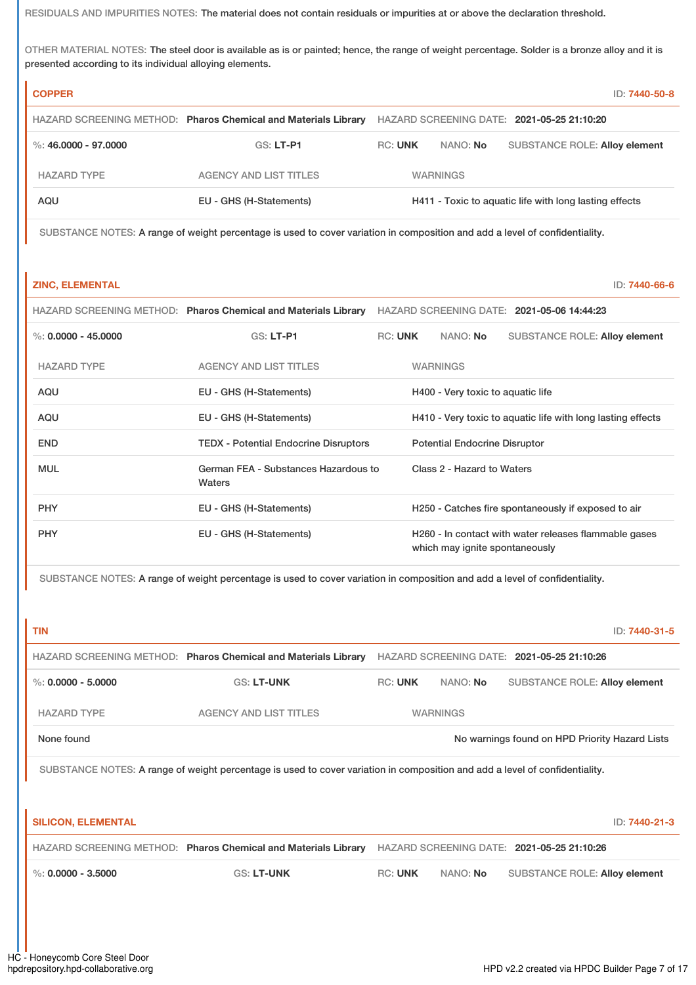RESIDUALS AND IMPURITIES NOTES: The material does not contain residuals or impurities at or above the declaration threshold.

OTHER MATERIAL NOTES: The steel door is available as is or painted; hence, the range of weight percentage. Solder is a bronze alloy and it is presented according to its individual alloying elements.

| <b>COPPER</b>        |                                                                |                |                 | ID: 7440-50-8                                          |
|----------------------|----------------------------------------------------------------|----------------|-----------------|--------------------------------------------------------|
|                      | HAZARD SCREENING METHOD: Pharos Chemical and Materials Library |                |                 | HAZARD SCREENING DATE: 2021-05-25 21:10:20             |
| %: 46,0000 - 97,0000 | $GS: LT-PI$                                                    | <b>RC: UNK</b> | NANO: No        | <b>SUBSTANCE ROLE: Alloy element</b>                   |
| <b>HAZARD TYPE</b>   | <b>AGENCY AND LIST TITLES</b>                                  |                | <b>WARNINGS</b> |                                                        |
| AQU                  | EU - GHS (H-Statements)                                        |                |                 | H411 - Toxic to aquatic life with long lasting effects |

SUBSTANCE NOTES: A range of weight percentage is used to cover variation in composition and add a level of confidentiality.

### **ZINC, ELEMENTAL** ID: **7440-66-6**

|                       | HAZARD SCREENING METHOD: Pharos Chemical and Materials Library |                |                                                             |                                   | HAZARD SCREENING DATE: 2021-05-06 14:44:23            |  |
|-----------------------|----------------------------------------------------------------|----------------|-------------------------------------------------------------|-----------------------------------|-------------------------------------------------------|--|
| %: $0.0000 - 45.0000$ | $GS: LT-PI$                                                    | <b>RC: UNK</b> |                                                             | NANO: No                          | <b>SUBSTANCE ROLE: Alloy element</b>                  |  |
| <b>HAZARD TYPE</b>    | <b>AGENCY AND LIST TITLES</b>                                  |                |                                                             | <b>WARNINGS</b>                   |                                                       |  |
| <b>AQU</b>            | EU - GHS (H-Statements)                                        |                |                                                             | H400 - Very toxic to aquatic life |                                                       |  |
| AQU                   | EU - GHS (H-Statements)                                        |                | H410 - Very toxic to aquatic life with long lasting effects |                                   |                                                       |  |
| <b>END</b>            | <b>TEDX - Potential Endocrine Disruptors</b>                   |                | <b>Potential Endocrine Disruptor</b>                        |                                   |                                                       |  |
| <b>MUL</b>            | German FEA - Substances Hazardous to<br>Waters                 |                | Class 2 - Hazard to Waters                                  |                                   |                                                       |  |
| <b>PHY</b>            | EU - GHS (H-Statements)                                        |                |                                                             |                                   | H250 - Catches fire spontaneously if exposed to air   |  |
| <b>PHY</b>            | EU - GHS (H-Statements)                                        |                |                                                             | which may ignite spontaneously    | H260 - In contact with water releases flammable gases |  |

SUBSTANCE NOTES: A range of weight percentage is used to cover variation in composition and add a level of confidentiality.

|                                                                                                                             |                |          |                                      | ID: 7440-31-5                                                                                                                              |  |  |
|-----------------------------------------------------------------------------------------------------------------------------|----------------|----------|--------------------------------------|--------------------------------------------------------------------------------------------------------------------------------------------|--|--|
| HAZARD SCREENING METHOD: Pharos Chemical and Materials Library                                                              |                |          |                                      |                                                                                                                                            |  |  |
| <b>GS: LT-UNK</b>                                                                                                           | <b>RC: UNK</b> | NANO: No | <b>SUBSTANCE ROLE: Alloy element</b> |                                                                                                                                            |  |  |
| <b>AGENCY AND LIST TITLES</b>                                                                                               |                |          |                                      |                                                                                                                                            |  |  |
|                                                                                                                             |                |          |                                      |                                                                                                                                            |  |  |
| SUBSTANCE NOTES: A range of weight percentage is used to cover variation in composition and add a level of confidentiality. |                |          |                                      |                                                                                                                                            |  |  |
|                                                                                                                             |                |          |                                      |                                                                                                                                            |  |  |
|                                                                                                                             |                |          |                                      | ID: 7440-21-3                                                                                                                              |  |  |
| HAZARD SCREENING METHOD: Pharos Chemical and Materials Library                                                              |                |          |                                      |                                                                                                                                            |  |  |
| <b>GS: LT-UNK</b>                                                                                                           | <b>RC: UNK</b> | NANO: No | <b>SUBSTANCE ROLE: Alloy element</b> |                                                                                                                                            |  |  |
|                                                                                                                             |                |          |                                      |                                                                                                                                            |  |  |
|                                                                                                                             |                |          |                                      |                                                                                                                                            |  |  |
|                                                                                                                             |                |          | <b>WARNINGS</b>                      | HAZARD SCREENING DATE: 2021-05-25 21:10:26<br>No warnings found on HPD Priority Hazard Lists<br>HAZARD SCREENING DATE: 2021-05-25 21:10:26 |  |  |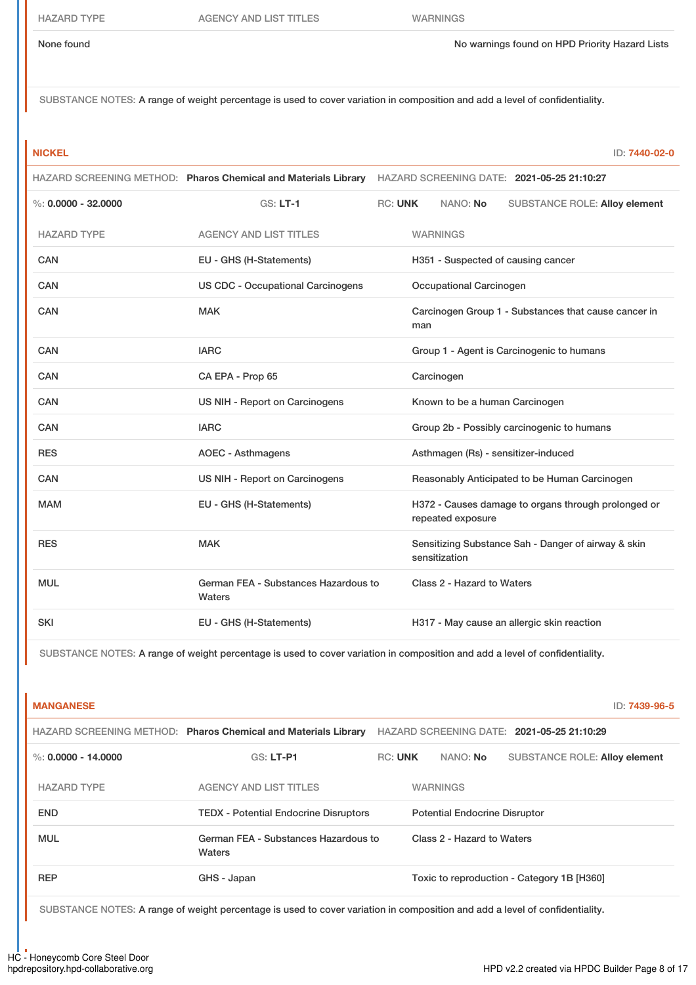None found Now arrings found on HPD Priority Hazard Lists

SUBSTANCE NOTES: A range of weight percentage is used to cover variation in composition and add a level of confidentiality.

| v<br>-- |  |  |  |
|---------|--|--|--|
|         |  |  |  |
|         |  |  |  |
| M.      |  |  |  |

**NICKEL** ID: **7440-02-0**

|                         |                                                | HAZARD SCREENING METHOD: Pharos Chemical and Materials Library HAZARD SCREENING DATE: 2021-05-25 21:10:27 |
|-------------------------|------------------------------------------------|-----------------------------------------------------------------------------------------------------------|
| $\%$ : 0.0000 - 32.0000 | $GS: LT-1$                                     | <b>RC: UNK</b><br>NANO: No<br><b>SUBSTANCE ROLE: Alloy element</b>                                        |
| <b>HAZARD TYPE</b>      | <b>AGENCY AND LIST TITLES</b>                  | <b>WARNINGS</b>                                                                                           |
| CAN                     | EU - GHS (H-Statements)                        | H351 - Suspected of causing cancer                                                                        |
| CAN                     | <b>US CDC - Occupational Carcinogens</b>       | Occupational Carcinogen                                                                                   |
| <b>CAN</b>              | <b>MAK</b>                                     | Carcinogen Group 1 - Substances that cause cancer in<br>man                                               |
| CAN                     | <b>IARC</b>                                    | Group 1 - Agent is Carcinogenic to humans                                                                 |
| CAN                     | CA EPA - Prop 65                               | Carcinogen                                                                                                |
| CAN                     | US NIH - Report on Carcinogens                 | Known to be a human Carcinogen                                                                            |
| CAN                     | <b>IARC</b>                                    | Group 2b - Possibly carcinogenic to humans                                                                |
| <b>RES</b>              | <b>AOEC - Asthmagens</b>                       | Asthmagen (Rs) - sensitizer-induced                                                                       |
| CAN                     | US NIH - Report on Carcinogens                 | Reasonably Anticipated to be Human Carcinogen                                                             |
| <b>MAM</b>              | EU - GHS (H-Statements)                        | H372 - Causes damage to organs through prolonged or<br>repeated exposure                                  |
| <b>RES</b>              | <b>MAK</b>                                     | Sensitizing Substance Sah - Danger of airway & skin<br>sensitization                                      |
| <b>MUL</b>              | German FEA - Substances Hazardous to<br>Waters | Class 2 - Hazard to Waters                                                                                |
| <b>SKI</b>              | EU - GHS (H-Statements)                        | H317 - May cause an allergic skin reaction                                                                |

SUBSTANCE NOTES: A range of weight percentage is used to cover variation in composition and add a level of confidentiality.

| <b>MANGANESE</b>      |                                                                |                |                                      | ID: 7439-96-5                              |
|-----------------------|----------------------------------------------------------------|----------------|--------------------------------------|--------------------------------------------|
|                       | HAZARD SCREENING METHOD: Pharos Chemical and Materials Library |                |                                      | HAZARD SCREENING DATE: 2021-05-25 21:10:29 |
| %: $0.0000 - 14.0000$ | <b>GS: LT-P1</b>                                               | <b>RC: UNK</b> | NANO: No                             | <b>SUBSTANCE ROLE: Alloy element</b>       |
| <b>HAZARD TYPE</b>    | <b>AGENCY AND LIST TITLES</b>                                  |                | <b>WARNINGS</b>                      |                                            |
| <b>END</b>            | <b>TEDX - Potential Endocrine Disruptors</b>                   |                | <b>Potential Endocrine Disruptor</b> |                                            |
| <b>MUL</b>            | German FEA - Substances Hazardous to<br>Waters                 |                | Class 2 - Hazard to Waters           |                                            |
| <b>REP</b>            | GHS - Japan                                                    |                |                                      | Toxic to reproduction - Category 1B [H360] |

SUBSTANCE NOTES: A range of weight percentage is used to cover variation in composition and add a level of confidentiality.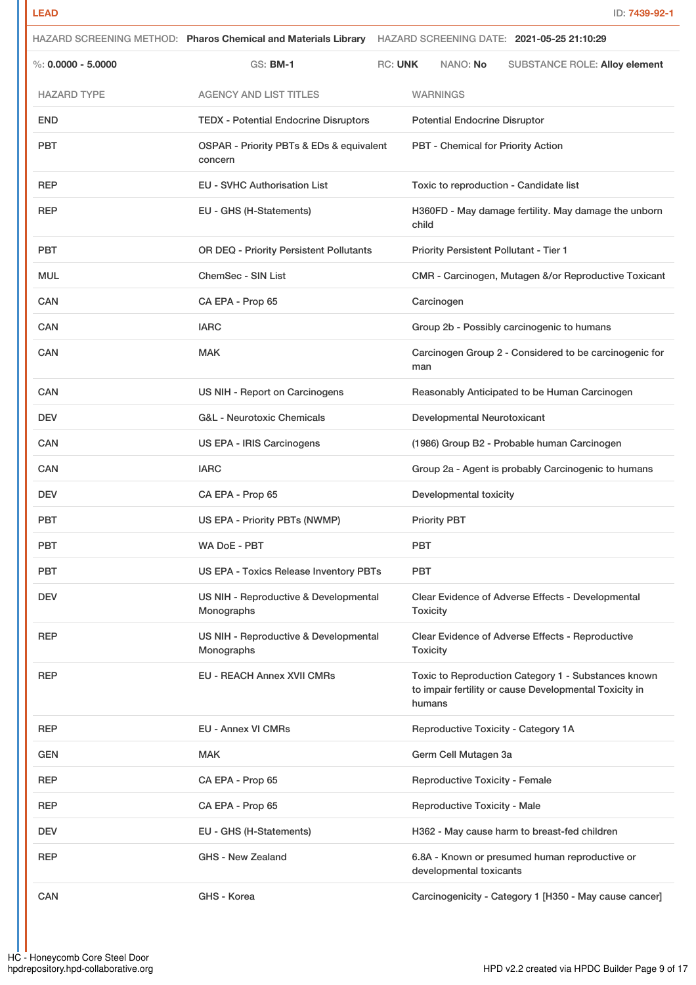|                      |                                                     | HAZARD SCREENING METHOD: Pharos Chemical and Materials Library HAZARD SCREENING DATE: 2021-05-25 21:10:29               |
|----------------------|-----------------------------------------------------|-------------------------------------------------------------------------------------------------------------------------|
| %: $0.0000 - 5.0000$ | GS: <b>BM-1</b>                                     | <b>RC: UNK</b><br>NANO: No<br><b>SUBSTANCE ROLE: Alloy element</b>                                                      |
| <b>HAZARD TYPE</b>   | <b>AGENCY AND LIST TITLES</b>                       | <b>WARNINGS</b>                                                                                                         |
| <b>END</b>           | <b>TEDX - Potential Endocrine Disruptors</b>        | <b>Potential Endocrine Disruptor</b>                                                                                    |
| <b>PBT</b>           | OSPAR - Priority PBTs & EDs & equivalent<br>concern | PBT - Chemical for Priority Action                                                                                      |
| <b>REP</b>           | <b>EU - SVHC Authorisation List</b>                 | Toxic to reproduction - Candidate list                                                                                  |
| <b>REP</b>           | EU - GHS (H-Statements)                             | H360FD - May damage fertility. May damage the unborn<br>child                                                           |
| <b>PBT</b>           | OR DEQ - Priority Persistent Pollutants             | <b>Priority Persistent Pollutant - Tier 1</b>                                                                           |
| <b>MUL</b>           | <b>ChemSec - SIN List</b>                           | CMR - Carcinogen, Mutagen &/or Reproductive Toxicant                                                                    |
| <b>CAN</b>           | CA EPA - Prop 65                                    | Carcinogen                                                                                                              |
| CAN                  | <b>IARC</b>                                         | Group 2b - Possibly carcinogenic to humans                                                                              |
| <b>CAN</b>           | <b>MAK</b>                                          | Carcinogen Group 2 - Considered to be carcinogenic for<br>man                                                           |
| CAN                  | US NIH - Report on Carcinogens                      | Reasonably Anticipated to be Human Carcinogen                                                                           |
| <b>DEV</b>           | <b>G&amp;L - Neurotoxic Chemicals</b>               | Developmental Neurotoxicant                                                                                             |
| <b>CAN</b>           | US EPA - IRIS Carcinogens                           | (1986) Group B2 - Probable human Carcinogen                                                                             |
| CAN                  | <b>IARC</b>                                         | Group 2a - Agent is probably Carcinogenic to humans                                                                     |
| <b>DEV</b>           | CA EPA - Prop 65                                    | Developmental toxicity                                                                                                  |
| <b>PBT</b>           | US EPA - Priority PBTs (NWMP)                       | <b>Priority PBT</b>                                                                                                     |
| <b>PBT</b>           | <b>WA DoE - PBT</b>                                 | <b>PBT</b>                                                                                                              |
| <b>PBT</b>           | <b>US EPA - Toxics Release Inventory PBTs</b>       | <b>PBT</b>                                                                                                              |
| <b>DEV</b>           | US NIH - Reproductive & Developmental<br>Monographs | Clear Evidence of Adverse Effects - Developmental<br><b>Toxicity</b>                                                    |
| <b>REP</b>           | US NIH - Reproductive & Developmental<br>Monographs | Clear Evidence of Adverse Effects - Reproductive<br><b>Toxicity</b>                                                     |
| <b>REP</b>           | <b>EU - REACH Annex XVII CMRs</b>                   | Toxic to Reproduction Category 1 - Substances known<br>to impair fertility or cause Developmental Toxicity in<br>humans |
| <b>REP</b>           | <b>EU - Annex VI CMRs</b>                           | Reproductive Toxicity - Category 1A                                                                                     |
| <b>GEN</b>           | <b>MAK</b>                                          | Germ Cell Mutagen 3a                                                                                                    |
| <b>REP</b>           | CA EPA - Prop 65                                    | <b>Reproductive Toxicity - Female</b>                                                                                   |
| <b>REP</b>           | CA EPA - Prop 65                                    | <b>Reproductive Toxicity - Male</b>                                                                                     |
| <b>DEV</b>           | EU - GHS (H-Statements)                             | H362 - May cause harm to breast-fed children                                                                            |
| <b>REP</b>           | <b>GHS - New Zealand</b>                            | 6.8A - Known or presumed human reproductive or<br>developmental toxicants                                               |
| CAN                  | GHS - Korea                                         | Carcinogenicity - Category 1 [H350 - May cause cancer]                                                                  |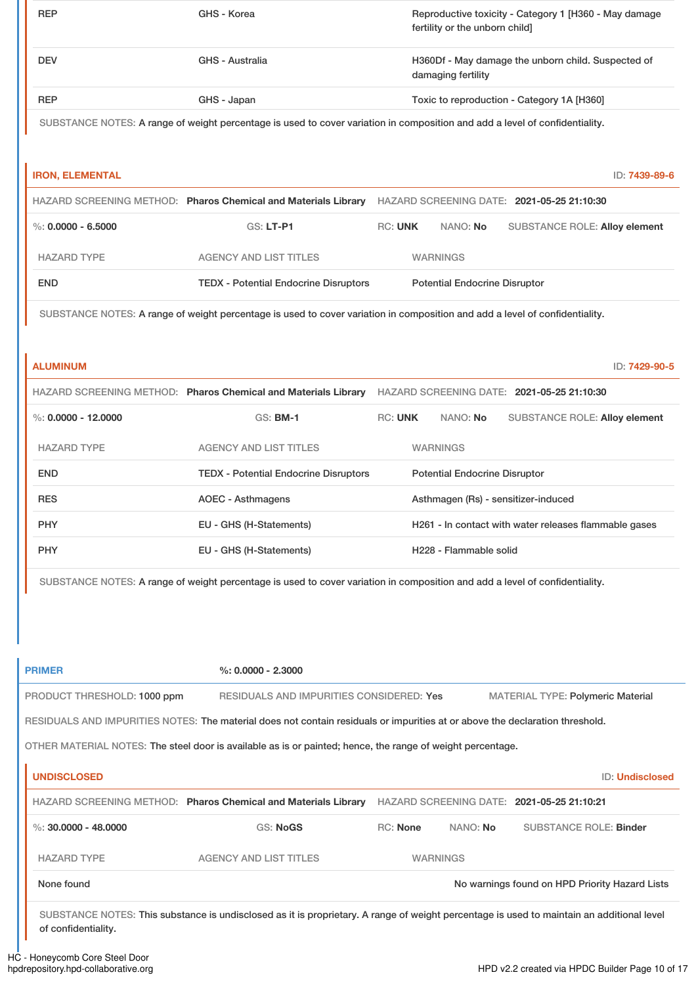| <b>REP</b> | GHS - Korea     | Reproductive toxicity - Category 1 [H360 - May damage<br>fertility or the unborn child] |
|------------|-----------------|-----------------------------------------------------------------------------------------|
| <b>DEV</b> | GHS - Australia | H360Df - May damage the unborn child. Suspected of<br>damaging fertility                |
| <b>REP</b> | GHS - Japan     | Toxic to reproduction - Category 1A [H360]                                              |
|            |                 |                                                                                         |

SUBSTANCE NOTES: A range of weight percentage is used to cover variation in composition and add a level of confidentiality.

| <b>IRON, ELEMENTAL</b> |                                                                |                |                                      | ID: 7439-89-6                              |
|------------------------|----------------------------------------------------------------|----------------|--------------------------------------|--------------------------------------------|
|                        | HAZARD SCREENING METHOD: Pharos Chemical and Materials Library |                |                                      | HAZARD SCREENING DATE: 2021-05-25 21:10:30 |
| %: $0.0000 - 6.5000$   | $GS: LT-PI$                                                    | <b>RC: UNK</b> | NANO: No                             | <b>SUBSTANCE ROLE: Alloy element</b>       |
| <b>HAZARD TYPE</b>     | <b>AGENCY AND LIST TITLES</b>                                  |                | <b>WARNINGS</b>                      |                                            |
| <b>END</b>             | <b>TEDX - Potential Endocrine Disruptors</b>                   |                | <b>Potential Endocrine Disruptor</b> |                                            |

SUBSTANCE NOTES: A range of weight percentage is used to cover variation in composition and add a level of confidentiality.

**ALUMINUM** ID: **7429-90-5**

|                       | HAZARD SCREENING METHOD: Pharos Chemical and Materials Library |                |                                      | HAZARD SCREENING DATE: 2021-05-25 21:10:30            |
|-----------------------|----------------------------------------------------------------|----------------|--------------------------------------|-------------------------------------------------------|
| %: $0.0000 - 12.0000$ | $GS:$ BM-1                                                     | <b>RC: UNK</b> | NANO: No                             | <b>SUBSTANCE ROLE: Alloy element</b>                  |
| <b>HAZARD TYPE</b>    | <b>AGENCY AND LIST TITLES</b>                                  |                | <b>WARNINGS</b>                      |                                                       |
| <b>END</b>            | <b>TEDX - Potential Endocrine Disruptors</b>                   |                | <b>Potential Endocrine Disruptor</b> |                                                       |
| <b>RES</b>            | AOEC - Asthmagens                                              |                |                                      | Asthmagen (Rs) - sensitizer-induced                   |
| <b>PHY</b>            | EU - GHS (H-Statements)                                        |                |                                      | H261 - In contact with water releases flammable gases |
| <b>PHY</b>            | EU - GHS (H-Statements)                                        |                | H <sub>228</sub> - Flammable solid   |                                                       |

SUBSTANCE NOTES: A range of weight percentage is used to cover variation in composition and add a level of confidentiality.

| <b>PRIMER</b>                                                                                                                | $\%: 0.0000 - 2.3000$                                                                                                                     |                 |                 |                                                |                        |
|------------------------------------------------------------------------------------------------------------------------------|-------------------------------------------------------------------------------------------------------------------------------------------|-----------------|-----------------|------------------------------------------------|------------------------|
| PRODUCT THRESHOLD: 1000 ppm                                                                                                  | RESIDUALS AND IMPURITIES CONSIDERED: Yes                                                                                                  |                 |                 | <b>MATERIAL TYPE: Polymeric Material</b>       |                        |
| RESIDUALS AND IMPURITIES NOTES: The material does not contain residuals or impurities at or above the declaration threshold. |                                                                                                                                           |                 |                 |                                                |                        |
| OTHER MATERIAL NOTES: The steel door is available as is or painted; hence, the range of weight percentage.                   |                                                                                                                                           |                 |                 |                                                |                        |
| <b>UNDISCLOSED</b>                                                                                                           |                                                                                                                                           |                 |                 |                                                | <b>ID: Undisclosed</b> |
| HAZARD SCREENING METHOD: Pharos Chemical and Materials Library                                                               |                                                                                                                                           |                 |                 | HAZARD SCREENING DATE: 2021-05-25 21:10:21     |                        |
| %: $30.0000 - 48.0000$                                                                                                       | <b>GS: NoGS</b>                                                                                                                           | <b>RC: None</b> | NANO: <b>No</b> | <b>SUBSTANCE ROLE: Binder</b>                  |                        |
| <b>HAZARD TYPE</b>                                                                                                           | <b>AGENCY AND LIST TITLES</b>                                                                                                             |                 | <b>WARNINGS</b> |                                                |                        |
| None found                                                                                                                   |                                                                                                                                           |                 |                 | No warnings found on HPD Priority Hazard Lists |                        |
|                                                                                                                              | SUBSTANCE NOTES: This substance is undisclosed as it is proprietary. A range of weight percentage is used to maintain an additional level |                 |                 |                                                |                        |

HC - Honeycomb Core Steel Door<br>hpdrepository.hpd-collaborative.org

of confidentiality.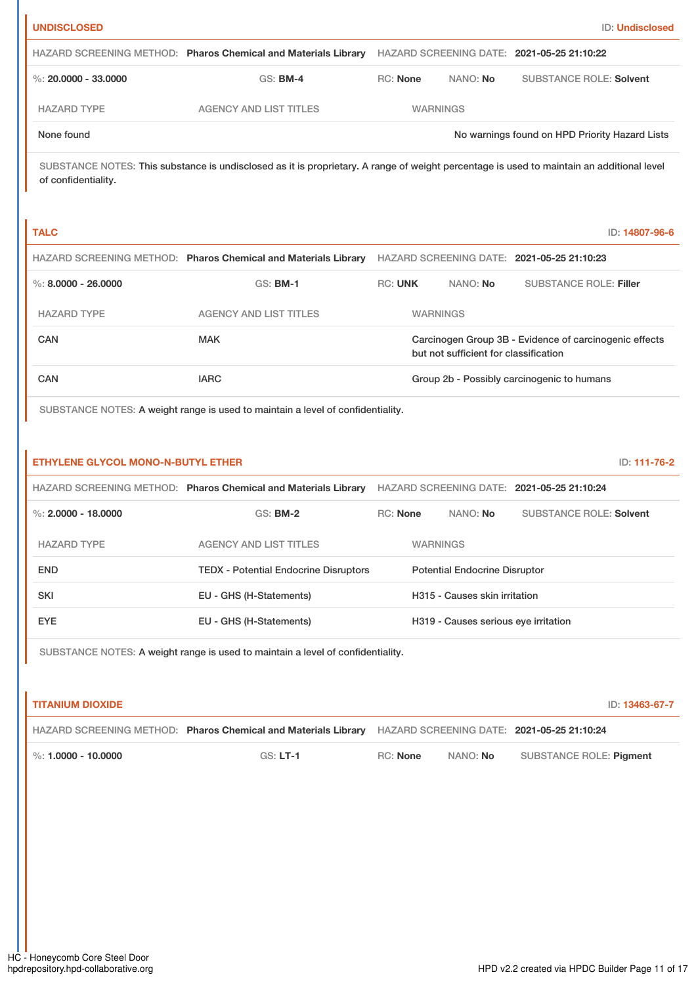| <b>UNDISCLOSED</b>   |                                                                |                 |                 | <b>ID: Undisclosed</b>                         |
|----------------------|----------------------------------------------------------------|-----------------|-----------------|------------------------------------------------|
|                      | HAZARD SCREENING METHOD: Pharos Chemical and Materials Library |                 |                 | HAZARD SCREENING DATE: 2021-05-25 21:10:22     |
| %: 20,0000 - 33,0000 | $GS:$ BM-4                                                     | <b>RC:</b> None | NANO: No        | <b>SUBSTANCE ROLE: Solvent</b>                 |
| <b>HAZARD TYPE</b>   | <b>AGENCY AND LIST TITLES</b>                                  |                 | <b>WARNINGS</b> |                                                |
| None found           |                                                                |                 |                 | No warnings found on HPD Priority Hazard Lists |

SUBSTANCE NOTES: This substance is undisclosed as it is proprietary. A range of weight percentage is used to maintain an additional level of confidentiality.

| <b>TALC</b>           |                                                                |                |                                       | ID: 14807-96-6                                         |  |
|-----------------------|----------------------------------------------------------------|----------------|---------------------------------------|--------------------------------------------------------|--|
|                       | HAZARD SCREENING METHOD: Pharos Chemical and Materials Library |                |                                       | HAZARD SCREENING DATE: 2021-05-25 21:10:23             |  |
| %: $8.0000 - 26.0000$ | $GS:$ BM-1                                                     | <b>RC: UNK</b> | NANO: No                              | <b>SUBSTANCE ROLE: Filler</b>                          |  |
| <b>HAZARD TYPE</b>    | <b>AGENCY AND LIST TITLES</b>                                  |                | <b>WARNINGS</b>                       |                                                        |  |
| CAN                   | <b>MAK</b>                                                     |                | but not sufficient for classification | Carcinogen Group 3B - Evidence of carcinogenic effects |  |
| CAN                   | <b>IARC</b>                                                    |                |                                       | Group 2b - Possibly carcinogenic to humans             |  |
|                       |                                                                |                |                                       |                                                        |  |

SUBSTANCE NOTES: A weight range is used to maintain a level of confidentiality.

## **ETHYLENE GLYCOL MONO-N-BUTYL ETHER** ID: **111-76-2**

|                       | HAZARD SCREENING METHOD: Pharos Chemical and Materials Library |                                      |                                      | HAZARD SCREENING DATE: 2021-05-25 21:10:24 |
|-----------------------|----------------------------------------------------------------|--------------------------------------|--------------------------------------|--------------------------------------------|
| %: $2.0000 - 18.0000$ | $GS:$ BM-2                                                     | <b>RC:</b> None                      | NANO: <b>No</b>                      | <b>SUBSTANCE ROLE: Solvent</b>             |
| <b>HAZARD TYPE</b>    | <b>AGENCY AND LIST TITLES</b>                                  |                                      | <b>WARNINGS</b>                      |                                            |
| <b>END</b>            | <b>TEDX - Potential Endocrine Disruptors</b>                   | <b>Potential Endocrine Disruptor</b> |                                      |                                            |
| <b>SKI</b>            | EU - GHS (H-Statements)                                        |                                      | H315 - Causes skin irritation        |                                            |
| EYE.                  | EU - GHS (H-Statements)                                        |                                      | H319 - Causes serious eye irritation |                                            |

SUBSTANCE NOTES: A weight range is used to maintain a level of confidentiality.

| ' TITANIUM DIOXIDE                 |                                                                                                           |                 |          | ID: 13463-67-7          |
|------------------------------------|-----------------------------------------------------------------------------------------------------------|-----------------|----------|-------------------------|
|                                    | HAZARD SCREENING METHOD: Pharos Chemical and Materials Library HAZARD SCREENING DATE: 2021-05-25 21:10:24 |                 |          |                         |
| $\blacksquare$ %: 1.0000 - 10.0000 | $GS: LT-1$                                                                                                | <b>RC:</b> None | NANO: No | SUBSTANCE ROLE: Pigment |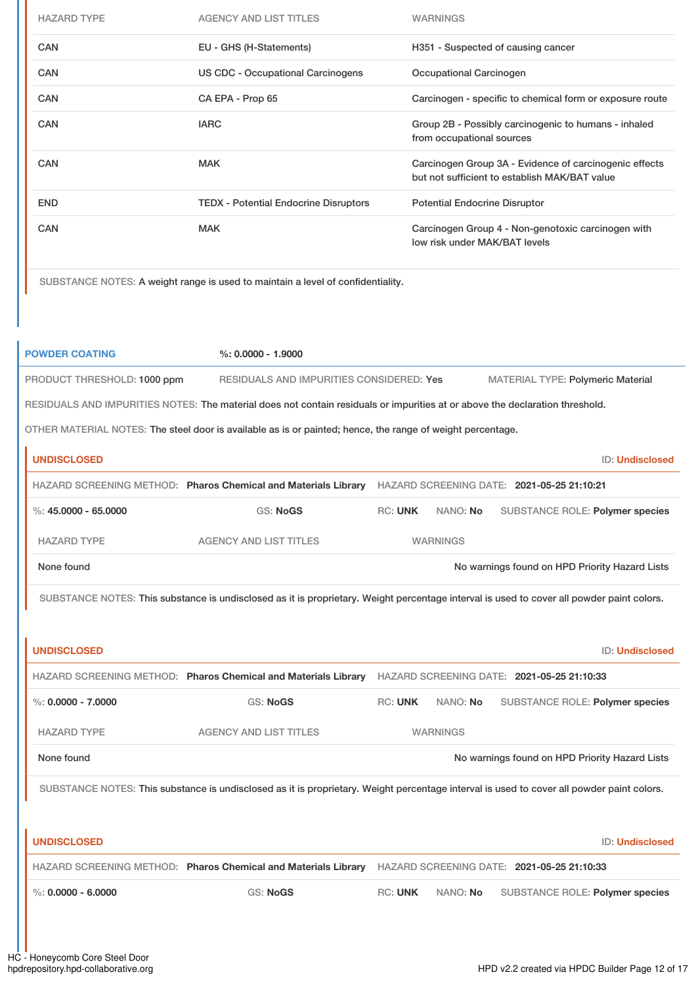| <b>HAZARD TYPE</b> | <b>AGENCY AND LIST TITLES</b>                | <b>WARNINGS</b>                                                                                         |
|--------------------|----------------------------------------------|---------------------------------------------------------------------------------------------------------|
| <b>CAN</b>         | EU - GHS (H-Statements)                      | H351 - Suspected of causing cancer                                                                      |
| <b>CAN</b>         | US CDC - Occupational Carcinogens            | Occupational Carcinogen                                                                                 |
| <b>CAN</b>         | CA EPA - Prop 65                             | Carcinogen - specific to chemical form or exposure route                                                |
| <b>CAN</b>         | <b>IARC</b>                                  | Group 2B - Possibly carcinogenic to humans - inhaled<br>from occupational sources                       |
| <b>CAN</b>         | <b>MAK</b>                                   | Carcinogen Group 3A - Evidence of carcinogenic effects<br>but not sufficient to establish MAK/BAT value |
| <b>END</b>         | <b>TEDX - Potential Endocrine Disruptors</b> | <b>Potential Endocrine Disruptor</b>                                                                    |
| CAN                | <b>MAK</b>                                   | Carcinogen Group 4 - Non-genotoxic carcinogen with<br>low risk under MAK/BAT levels                     |

SUBSTANCE NOTES: A weight range is used to maintain a level of confidentiality.

| <b>POWDER COATING</b>                                                                                                        | $\%: 0.0000 - 1.9000$                                                                                                                     |                |                 |                                                |                                 |
|------------------------------------------------------------------------------------------------------------------------------|-------------------------------------------------------------------------------------------------------------------------------------------|----------------|-----------------|------------------------------------------------|---------------------------------|
| PRODUCT THRESHOLD: 1000 ppm                                                                                                  | RESIDUALS AND IMPURITIES CONSIDERED: Yes                                                                                                  |                |                 | <b>MATERIAL TYPE: Polymeric Material</b>       |                                 |
| RESIDUALS AND IMPURITIES NOTES: The material does not contain residuals or impurities at or above the declaration threshold. |                                                                                                                                           |                |                 |                                                |                                 |
| OTHER MATERIAL NOTES: The steel door is available as is or painted; hence, the range of weight percentage.                   |                                                                                                                                           |                |                 |                                                |                                 |
| <b>UNDISCLOSED</b>                                                                                                           |                                                                                                                                           |                |                 |                                                | <b>ID: Undisclosed</b>          |
|                                                                                                                              | HAZARD SCREENING METHOD: Pharos Chemical and Materials Library                                                                            |                |                 | HAZARD SCREENING DATE: 2021-05-25 21:10:21     |                                 |
| $\%: 45.0000 - 65.0000$                                                                                                      | <b>GS: NoGS</b>                                                                                                                           | <b>RC: UNK</b> | NANO: No        |                                                | SUBSTANCE ROLE: Polymer species |
| <b>HAZARD TYPE</b>                                                                                                           | <b>AGENCY AND LIST TITLES</b>                                                                                                             |                | <b>WARNINGS</b> |                                                |                                 |
| None found                                                                                                                   |                                                                                                                                           |                |                 | No warnings found on HPD Priority Hazard Lists |                                 |
|                                                                                                                              | SUBSTANCE NOTES: This substance is undisclosed as it is proprietary. Weight percentage interval is used to cover all powder paint colors. |                |                 |                                                |                                 |
|                                                                                                                              |                                                                                                                                           |                |                 |                                                |                                 |
|                                                                                                                              |                                                                                                                                           |                |                 |                                                |                                 |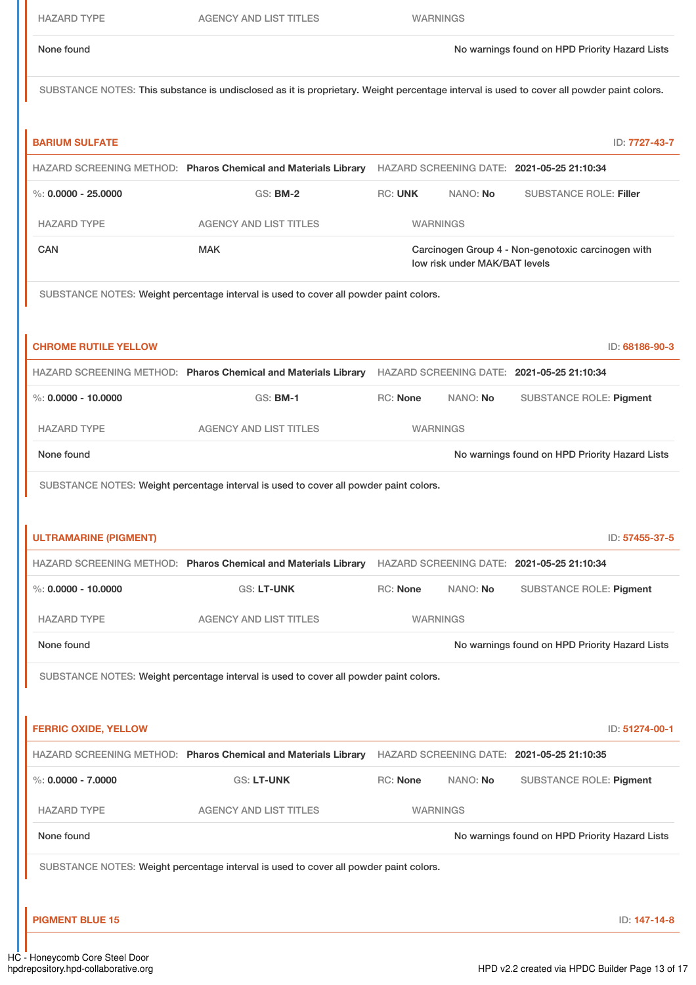|  |  | IAZARD T |  |  |
|--|--|----------|--|--|
|--|--|----------|--|--|

AGENCY AND LIST TITLES WARNINGS

None found Now arrings found on HPD Priority Hazard Lists

SUBSTANCE NOTES: This substance is undisclosed as it is proprietary. Weight percentage interval is used to cover all powder paint colors.

| <b>BARIUM SULFATE</b>                                                                 |                                                                                                           |                 |                               | ID: 7727-43-7                                      |  |
|---------------------------------------------------------------------------------------|-----------------------------------------------------------------------------------------------------------|-----------------|-------------------------------|----------------------------------------------------|--|
|                                                                                       | HAZARD SCREENING METHOD: Pharos Chemical and Materials Library                                            |                 |                               | HAZARD SCREENING DATE: 2021-05-25 21:10:34         |  |
| %: $0.0000 - 25.0000$                                                                 | <b>GS: BM-2</b>                                                                                           | <b>RC: UNK</b>  | NANO: No                      | <b>SUBSTANCE ROLE: Filler</b>                      |  |
| <b>HAZARD TYPE</b>                                                                    | <b>AGENCY AND LIST TITLES</b>                                                                             |                 | <b>WARNINGS</b>               |                                                    |  |
| <b>CAN</b>                                                                            | <b>MAK</b>                                                                                                |                 | low risk under MAK/BAT levels | Carcinogen Group 4 - Non-genotoxic carcinogen with |  |
| SUBSTANCE NOTES: Weight percentage interval is used to cover all powder paint colors. |                                                                                                           |                 |                               |                                                    |  |
| <b>CHROME RUTILE YELLOW</b>                                                           |                                                                                                           |                 |                               | ID: 68186-90-3                                     |  |
|                                                                                       | HAZARD SCREENING METHOD: Pharos Chemical and Materials Library HAZARD SCREENING DATE: 2021-05-25 21:10:34 |                 |                               |                                                    |  |
| $\%$ : 0.0000 - 10.0000                                                               | <b>GS: BM-1</b>                                                                                           | RC: None        | NANO: No                      | <b>SUBSTANCE ROLE: Pigment</b>                     |  |
| <b>HAZARD TYPE</b>                                                                    | <b>AGENCY AND LIST TITLES</b>                                                                             |                 | <b>WARNINGS</b>               |                                                    |  |
| None found                                                                            |                                                                                                           |                 |                               | No warnings found on HPD Priority Hazard Lists     |  |
|                                                                                       | SUBSTANCE NOTES: Weight percentage interval is used to cover all powder paint colors.                     |                 |                               |                                                    |  |
|                                                                                       |                                                                                                           |                 |                               |                                                    |  |
| <b>ULTRAMARINE (PIGMENT)</b>                                                          |                                                                                                           |                 |                               | ID: 57455-37-5                                     |  |
|                                                                                       | HAZARD SCREENING METHOD: Pharos Chemical and Materials Library                                            |                 |                               | HAZARD SCREENING DATE: 2021-05-25 21:10:34         |  |
| %: $0.0000 - 10.0000$                                                                 | <b>GS: LT-UNK</b>                                                                                         | <b>RC: None</b> | NANO: No                      | <b>SUBSTANCE ROLE: Pigment</b>                     |  |
| <b>HAZARD TYPE</b>                                                                    | <b>AGENCY AND LIST TITLES</b>                                                                             | <b>WARNINGS</b> |                               |                                                    |  |
| None found                                                                            |                                                                                                           |                 |                               | No warnings found on HPD Priority Hazard Lists     |  |
| SUBSTANCE NOTES: Weight percentage interval is used to cover all powder paint colors. |                                                                                                           |                 |                               |                                                    |  |
|                                                                                       |                                                                                                           |                 |                               |                                                    |  |
| <b>FERRIC OXIDE, YELLOW</b>                                                           |                                                                                                           |                 |                               | ID: 51274-00-1                                     |  |
|                                                                                       | HAZARD SCREENING METHOD: Pharos Chemical and Materials Library HAZARD SCREENING DATE: 2021-05-25 21:10:35 |                 |                               |                                                    |  |
| $\%$ : 0.0000 - 7.0000                                                                | <b>GS: LT-UNK</b>                                                                                         | RC: None        | NANO: No                      | <b>SUBSTANCE ROLE: Pigment</b>                     |  |
| <b>HAZARD TYPE</b>                                                                    | <b>AGENCY AND LIST TITLES</b>                                                                             |                 | <b>WARNINGS</b>               |                                                    |  |
| None found                                                                            |                                                                                                           |                 |                               | No warnings found on HPD Priority Hazard Lists     |  |
|                                                                                       | SUBSTANCE NOTES: Weight percentage interval is used to cover all powder paint colors.                     |                 |                               |                                                    |  |

**PIGMENT BLUE 15** ID: **147-14-8**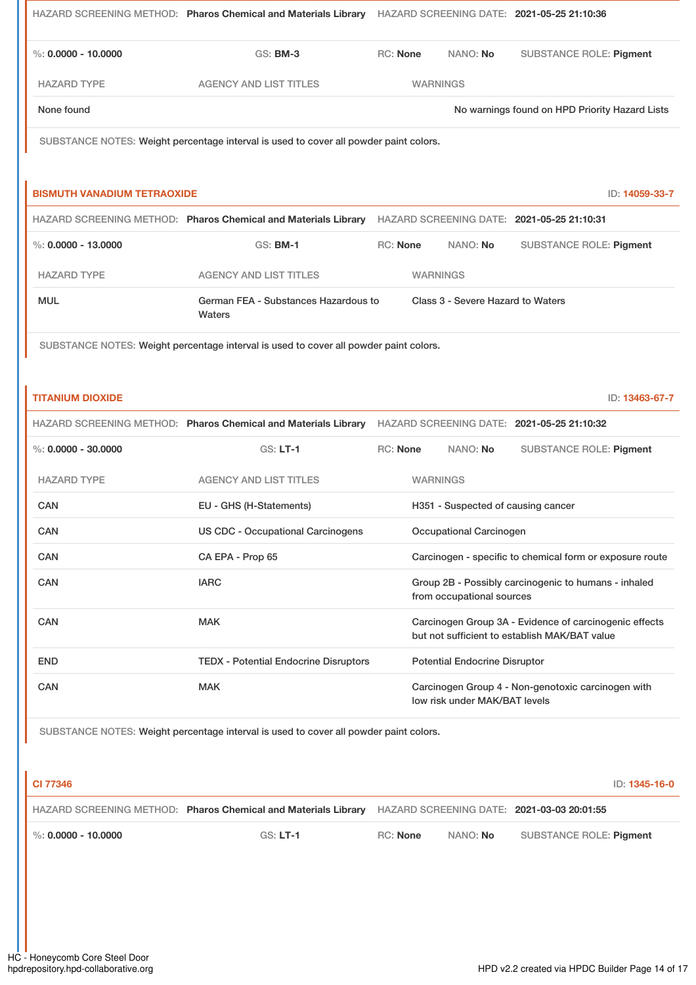|                                    | HAZARD SCREENING METHOD: Pharos Chemical and Materials Library HAZARD SCREENING DATE: 2021-05-25 21:10:36 |                 |                                      |                                                                                                         |
|------------------------------------|-----------------------------------------------------------------------------------------------------------|-----------------|--------------------------------------|---------------------------------------------------------------------------------------------------------|
| %: $0.0000 - 10.0000$              | <b>GS: BM-3</b>                                                                                           | <b>RC: None</b> | NANO: No                             | <b>SUBSTANCE ROLE: Pigment</b>                                                                          |
| <b>HAZARD TYPE</b>                 | <b>AGENCY AND LIST TITLES</b>                                                                             |                 | <b>WARNINGS</b>                      |                                                                                                         |
| None found                         |                                                                                                           |                 |                                      | No warnings found on HPD Priority Hazard Lists                                                          |
|                                    | SUBSTANCE NOTES: Weight percentage interval is used to cover all powder paint colors.                     |                 |                                      |                                                                                                         |
|                                    |                                                                                                           |                 |                                      |                                                                                                         |
| <b>BISMUTH VANADIUM TETRAOXIDE</b> |                                                                                                           |                 |                                      | ID: 14059-33-7                                                                                          |
|                                    | HAZARD SCREENING METHOD: Pharos Chemical and Materials Library HAZARD SCREENING DATE: 2021-05-25 21:10:31 |                 |                                      |                                                                                                         |
| $\%$ : 0.0000 - 13.0000            | <b>GS: BM-1</b>                                                                                           | <b>RC: None</b> | NANO: No                             | <b>SUBSTANCE ROLE: Pigment</b>                                                                          |
| <b>HAZARD TYPE</b>                 | <b>AGENCY AND LIST TITLES</b>                                                                             |                 | <b>WARNINGS</b>                      |                                                                                                         |
| <b>MUL</b>                         | German FEA - Substances Hazardous to<br>Waters                                                            |                 | Class 3 - Severe Hazard to Waters    |                                                                                                         |
|                                    |                                                                                                           |                 |                                      |                                                                                                         |
| <b>TITANIUM DIOXIDE</b>            |                                                                                                           |                 |                                      | ID: 13463-67-7                                                                                          |
|                                    | HAZARD SCREENING METHOD: Pharos Chemical and Materials Library                                            |                 |                                      | HAZARD SCREENING DATE: 2021-05-25 21:10:32                                                              |
| %: $0.0000 - 30.0000$              | $GS: LT-1$                                                                                                | <b>RC: None</b> | NANO: No                             | <b>SUBSTANCE ROLE: Pigment</b>                                                                          |
| <b>HAZARD TYPE</b>                 | <b>AGENCY AND LIST TITLES</b>                                                                             |                 | <b>WARNINGS</b>                      |                                                                                                         |
| CAN                                | EU - GHS (H-Statements)                                                                                   |                 | H351 - Suspected of causing cancer   |                                                                                                         |
| CAN                                | <b>US CDC - Occupational Carcinogens</b>                                                                  |                 | Occupational Carcinogen              |                                                                                                         |
| CAN                                | CA EPA - Prop 65                                                                                          |                 |                                      | Carcinogen - specific to chemical form or exposure route                                                |
| CAN                                | <b>IARC</b>                                                                                               |                 | from occupational sources            | Group 2B - Possibly carcinogenic to humans - inhaled                                                    |
| CAN                                | <b>MAK</b>                                                                                                |                 |                                      | Carcinogen Group 3A - Evidence of carcinogenic effects<br>but not sufficient to establish MAK/BAT value |
| <b>END</b>                         | <b>TEDX - Potential Endocrine Disruptors</b>                                                              |                 | <b>Potential Endocrine Disruptor</b> |                                                                                                         |
| CAN                                | <b>MAK</b>                                                                                                |                 | low risk under MAK/BAT levels        | Carcinogen Group 4 - Non-genotoxic carcinogen with                                                      |

**CI 77346** ID: **1345-16-0** HAZARD SCREENING METHOD: **Pharos Chemical and Materials Library** HAZARD SCREENING DATE: **2021-03-03 20:01:55** %: **0.0000 - 10.0000** GS: **LT-1** RC: **None** NANO: **No** SUBSTANCE ROLE: **Pigment**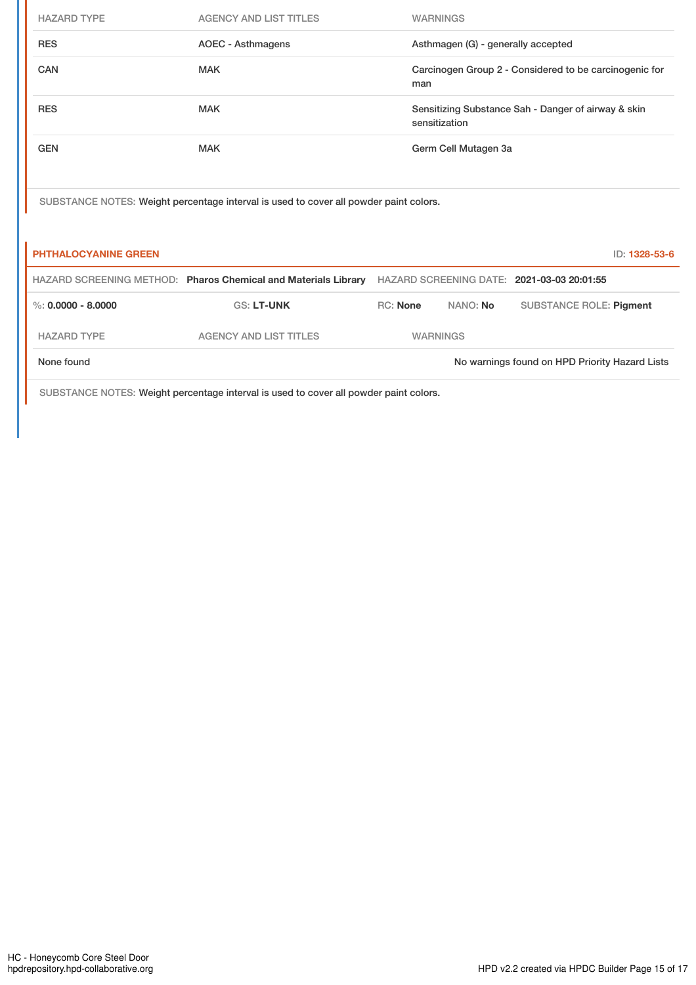| <b>HAZARD TYPE</b>          | <b>AGENCY AND LIST TITLES</b>                                                         |                 | <b>WARNINGS</b> |                                    |                                                        |               |
|-----------------------------|---------------------------------------------------------------------------------------|-----------------|-----------------|------------------------------------|--------------------------------------------------------|---------------|
| <b>RES</b>                  | <b>AOEC - Asthmagens</b>                                                              |                 |                 | Asthmagen (G) - generally accepted |                                                        |               |
| <b>CAN</b>                  | <b>MAK</b>                                                                            |                 | man             |                                    | Carcinogen Group 2 - Considered to be carcinogenic for |               |
| <b>RES</b>                  | <b>MAK</b>                                                                            |                 | sensitization   |                                    | Sensitizing Substance Sah - Danger of airway & skin    |               |
| <b>GEN</b>                  | <b>MAK</b>                                                                            |                 |                 | Germ Cell Mutagen 3a               |                                                        |               |
|                             |                                                                                       |                 |                 |                                    |                                                        |               |
|                             | SUBSTANCE NOTES: Weight percentage interval is used to cover all powder paint colors. |                 |                 |                                    |                                                        |               |
| <b>PHTHALOCYANINE GREEN</b> |                                                                                       |                 |                 |                                    |                                                        | ID: 1328-53-6 |
|                             | HAZARD SCREENING METHOD: Pharos Chemical and Materials Library                        |                 |                 |                                    | HAZARD SCREENING DATE: 2021-03-03 20:01:55             |               |
| $\%$ : 0.0000 - 8.0000      | <b>GS: LT-UNK</b>                                                                     | <b>RC: None</b> |                 | NANO: No                           | <b>SUBSTANCE ROLE: Pigment</b>                         |               |
| <b>HAZARD TYPE</b>          | <b>AGENCY AND LIST TITLES</b>                                                         |                 | <b>WARNINGS</b> |                                    |                                                        |               |
| None found                  |                                                                                       |                 |                 |                                    | No warnings found on HPD Priority Hazard Lists         |               |

SUBSTANCE NOTES: Weight percentage interval is used to cover all powder paint colors.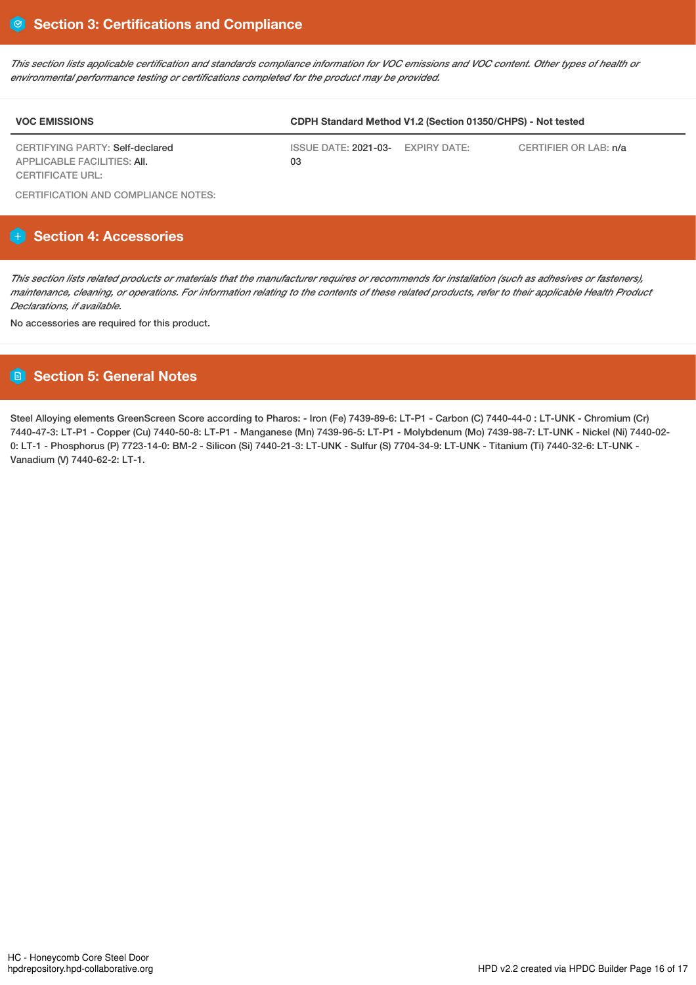This section lists applicable certification and standards compliance information for VOC emissions and VOC content. Other types of health or *environmental performance testing or certifications completed for the product may be provided.*

| <b>VOC EMISSIONS</b>                                                  | CDPH Standard Method V1.2 (Section 01350/CHPS) - Not tested |  |                       |  |  |
|-----------------------------------------------------------------------|-------------------------------------------------------------|--|-----------------------|--|--|
| CERTIFYING PARTY: Self-declared<br><b>APPLICABLE FACILITIES: AII.</b> | ISSUE DATE: 2021-03- EXPIRY DATE:<br>03                     |  | CERTIFIER OR LAB: n/a |  |  |
| <b>CERTIFICATE URL:</b>                                               |                                                             |  |                       |  |  |

CERTIFICATION AND COMPLIANCE NOTES:

# **Section 4: Accessories**

This section lists related products or materials that the manufacturer requires or recommends for installation (such as adhesives or fasteners), maintenance, cleaning, or operations. For information relating to the contents of these related products, refer to their applicable Health Product *Declarations, if available.*

No accessories are required for this product.

# **Section 5: General Notes**

Steel Alloying elements GreenScreen Score according to Pharos: - Iron (Fe) 7439-89-6: LT-P1 - Carbon (C) 7440-44-0 : LT-UNK - Chromium (Cr) 7440-47-3: LT-P1 - Copper (Cu) 7440-50-8: LT-P1 - Manganese (Mn) 7439-96-5: LT-P1 - Molybdenum (Mo) 7439-98-7: LT-UNK - Nickel (Ni) 7440-02- 0: LT-1 - Phosphorus (P) 7723-14-0: BM-2 - Silicon (Si) 7440-21-3: LT-UNK - Sulfur (S) 7704-34-9: LT-UNK - Titanium (Ti) 7440-32-6: LT-UNK - Vanadium (V) 7440-62-2: LT-1.